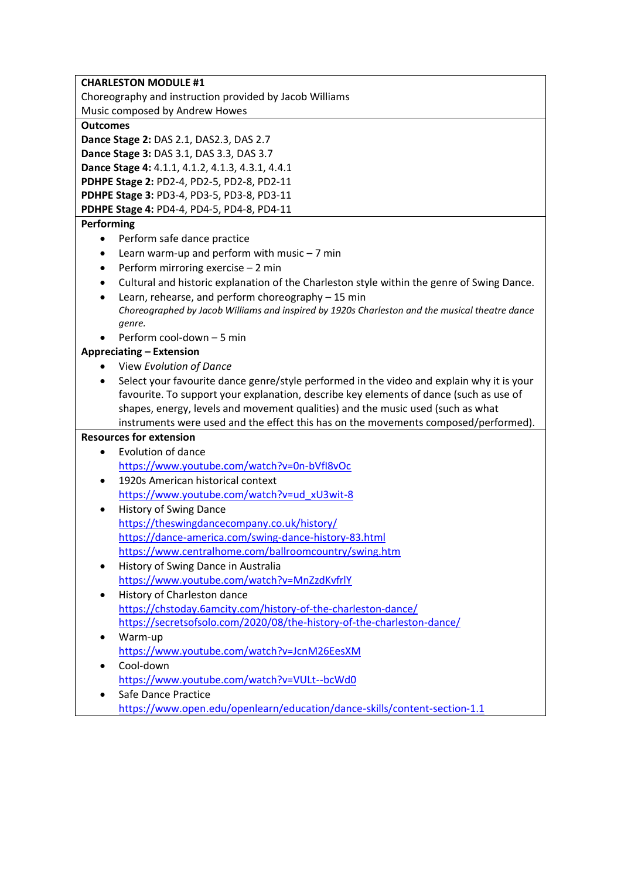| <b>CHARLESTON MODULE #1</b>                                                                    |  |  |  |
|------------------------------------------------------------------------------------------------|--|--|--|
| Choreography and instruction provided by Jacob Williams                                        |  |  |  |
| Music composed by Andrew Howes                                                                 |  |  |  |
| <b>Outcomes</b>                                                                                |  |  |  |
| Dance Stage 2: DAS 2.1, DAS2.3, DAS 2.7                                                        |  |  |  |
| Dance Stage 3: DAS 3.1, DAS 3.3, DAS 3.7                                                       |  |  |  |
| Dance Stage 4: 4.1.1, 4.1.2, 4.1.3, 4.3.1, 4.4.1                                               |  |  |  |
| PDHPE Stage 2: PD2-4, PD2-5, PD2-8, PD2-11                                                     |  |  |  |
| PDHPE Stage 3: PD3-4, PD3-5, PD3-8, PD3-11                                                     |  |  |  |
| PDHPE Stage 4: PD4-4, PD4-5, PD4-8, PD4-11                                                     |  |  |  |
| Performing                                                                                     |  |  |  |
| Perform safe dance practice                                                                    |  |  |  |
| Learn warm-up and perform with music $-7$ min<br>$\bullet$                                     |  |  |  |
| Perform mirroring exercise - 2 min                                                             |  |  |  |
| Cultural and historic explanation of the Charleston style within the genre of Swing Dance.     |  |  |  |
| Learn, rehearse, and perform choreography - 15 min<br>$\bullet$                                |  |  |  |
| Choreographed by Jacob Williams and inspired by 1920s Charleston and the musical theatre dance |  |  |  |
| genre.                                                                                         |  |  |  |
| Perform cool-down - 5 min                                                                      |  |  |  |
| <b>Appreciating - Extension</b>                                                                |  |  |  |
| View Evolution of Dance                                                                        |  |  |  |
| Select your favourite dance genre/style performed in the video and explain why it is your      |  |  |  |
| favourite. To support your explanation, describe key elements of dance (such as use of         |  |  |  |
| shapes, energy, levels and movement qualities) and the music used (such as what                |  |  |  |
| instruments were used and the effect this has on the movements composed/performed).            |  |  |  |
| <b>Resources for extension</b>                                                                 |  |  |  |
| <b>Evolution of dance</b>                                                                      |  |  |  |
| https://www.youtube.com/watch?v=0n-bVfI8vOc                                                    |  |  |  |
| 1920s American historical context<br>$\bullet$                                                 |  |  |  |
| https://www.youtube.com/watch?v=ud_xU3wit-8                                                    |  |  |  |
| <b>History of Swing Dance</b><br>$\bullet$                                                     |  |  |  |
| https://theswingdancecompany.co.uk/history/                                                    |  |  |  |
| https://dance-america.com/swing-dance-history-83.html                                          |  |  |  |
| https://www.centralhome.com/ballroomcountry/swing.htm                                          |  |  |  |
| History of Swing Dance in Australia<br>٠                                                       |  |  |  |
| https://www.youtube.com/watch?v=MnZzdKvfrlY                                                    |  |  |  |
| History of Charleston dance<br>٠                                                               |  |  |  |
| https://chstoday.6amcity.com/history-of-the-charleston-dance/                                  |  |  |  |
| https://secretsofsolo.com/2020/08/the-history-of-the-charleston-dance/                         |  |  |  |
| Warm-up<br>٠                                                                                   |  |  |  |
| https://www.youtube.com/watch?v=JcnM26EesXM                                                    |  |  |  |
| Cool-down                                                                                      |  |  |  |
| https://www.youtube.com/watch?v=VULt--bcWd0                                                    |  |  |  |
| Safe Dance Practice                                                                            |  |  |  |

<https://www.open.edu/openlearn/education/dance-skills/content-section-1.1>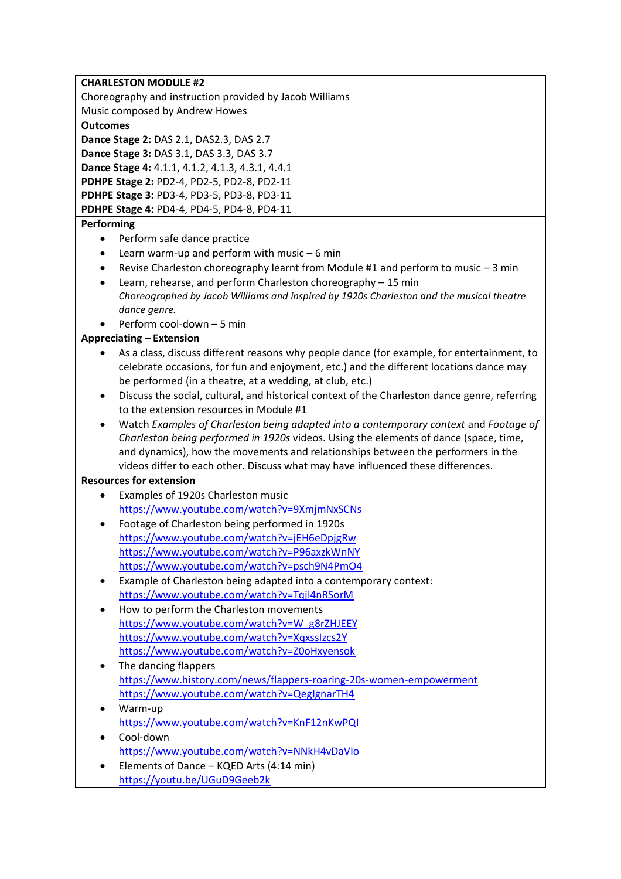|                 | <b>CHARLESTON MODULE #2</b>                                                                   |
|-----------------|-----------------------------------------------------------------------------------------------|
|                 | Choreography and instruction provided by Jacob Williams                                       |
|                 | Music composed by Andrew Howes                                                                |
| <b>Outcomes</b> |                                                                                               |
|                 | Dance Stage 2: DAS 2.1, DAS2.3, DAS 2.7                                                       |
|                 | Dance Stage 3: DAS 3.1, DAS 3.3, DAS 3.7                                                      |
|                 | Dance Stage 4: 4.1.1, 4.1.2, 4.1.3, 4.3.1, 4.4.1                                              |
|                 | PDHPE Stage 2: PD2-4, PD2-5, PD2-8, PD2-11                                                    |
|                 | PDHPE Stage 3: PD3-4, PD3-5, PD3-8, PD3-11                                                    |
|                 | PDHPE Stage 4: PD4-4, PD4-5, PD4-8, PD4-11                                                    |
| Performing      |                                                                                               |
|                 | Perform safe dance practice                                                                   |
| ٠               | Learn warm-up and perform with music $-6$ min                                                 |
| ٠               | Revise Charleston choreography learnt from Module #1 and perform to music - 3 min             |
| ٠               | Learn, rehearse, and perform Charleston choreography - 15 min                                 |
|                 | Choreographed by Jacob Williams and inspired by 1920s Charleston and the musical theatre      |
|                 | dance genre.                                                                                  |
|                 | Perform cool-down - 5 min                                                                     |
|                 | <b>Appreciating - Extension</b>                                                               |
|                 | As a class, discuss different reasons why people dance (for example, for entertainment, to    |
|                 | celebrate occasions, for fun and enjoyment, etc.) and the different locations dance may       |
|                 | be performed (in a theatre, at a wedding, at club, etc.)                                      |
| ٠               | Discuss the social, cultural, and historical context of the Charleston dance genre, referring |
|                 | to the extension resources in Module #1                                                       |
| ٠               | Watch Examples of Charleston being adapted into a contemporary context and Footage of         |
|                 | Charleston being performed in 1920s videos. Using the elements of dance (space, time,         |
|                 | and dynamics), how the movements and relationships between the performers in the              |
|                 | videos differ to each other. Discuss what may have influenced these differences.              |
|                 | <b>Resources for extension</b>                                                                |
|                 | Examples of 1920s Charleston music                                                            |
|                 | https://www.youtube.com/watch?v=9XmjmNxSCNs                                                   |
|                 | Footage of Charleston being performed in 1920s                                                |
|                 | https://www.youtube.com/watch?v=jEH6eDpjgRw                                                   |
|                 | https://www.youtube.com/watch?v=P96axzkWnNY                                                   |
|                 | https://www.youtube.com/watch?v=psch9N4PmO4                                                   |
| ٠               | Example of Charleston being adapted into a contemporary context:                              |
|                 | https://www.youtube.com/watch?v=Tqjl4nRSorM                                                   |
| $\bullet$       | How to perform the Charleston movements                                                       |
|                 | https://www.youtube.com/watch?v=W_g8rZHJEEY                                                   |
|                 | https://www.youtube.com/watch?v=XqxssIzcs2Y                                                   |
|                 | https://www.youtube.com/watch?v=Z0oHxyensok                                                   |
| ٠               | The dancing flappers                                                                          |
|                 | https://www.history.com/news/flappers-roaring-20s-women-empowerment                           |
|                 | https://www.youtube.com/watch?v=QegIgnarTH4                                                   |
| ٠               | Warm-up                                                                                       |
|                 | https://www.youtube.com/watch?v=KnF12nKwPQI                                                   |
| $\bullet$       | Cool-down                                                                                     |
|                 | https://www.youtube.com/watch?v=NNkH4vDaVIo                                                   |
|                 |                                                                                               |
| $\bullet$       | Elements of Dance - KQED Arts (4:14 min)<br>https://youtu.be/UGuD9Geeb2k                      |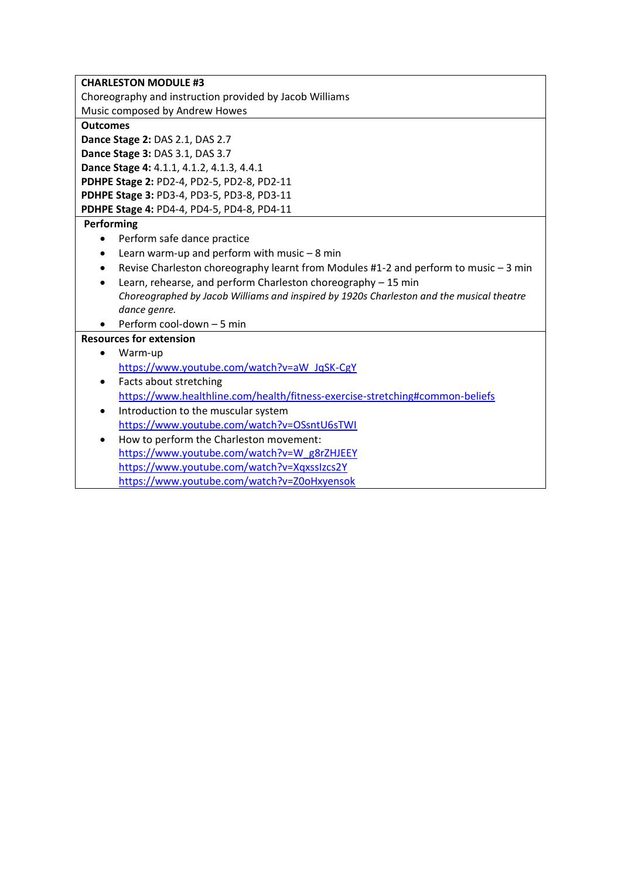| <b>CHARLESTON MODULE #3</b>                                                              |  |  |
|------------------------------------------------------------------------------------------|--|--|
| Choreography and instruction provided by Jacob Williams                                  |  |  |
| Music composed by Andrew Howes                                                           |  |  |
| <b>Outcomes</b>                                                                          |  |  |
| Dance Stage 2: DAS 2.1, DAS 2.7                                                          |  |  |
| Dance Stage 3: DAS 3.1, DAS 3.7                                                          |  |  |
| Dance Stage 4: 4.1.1, 4.1.2, 4.1.3, 4.4.1                                                |  |  |
| PDHPE Stage 2: PD2-4, PD2-5, PD2-8, PD2-11                                               |  |  |
| PDHPE Stage 3: PD3-4, PD3-5, PD3-8, PD3-11                                               |  |  |
| PDHPE Stage 4: PD4-4, PD4-5, PD4-8, PD4-11                                               |  |  |
| Performing                                                                               |  |  |
| Perform safe dance practice<br>$\bullet$                                                 |  |  |
| Learn warm-up and perform with music $-8$ min<br>$\bullet$                               |  |  |
| Revise Charleston choreography learnt from Modules #1-2 and perform to music - 3 min     |  |  |
| Learn, rehearse, and perform Charleston choreography - 15 min<br>$\bullet$               |  |  |
| Choreographed by Jacob Williams and inspired by 1920s Charleston and the musical theatre |  |  |
| dance genre.                                                                             |  |  |
| Perform cool-down - 5 min                                                                |  |  |
| <b>Resources for extension</b>                                                           |  |  |
| Warm-up<br>$\bullet$                                                                     |  |  |
| https://www.youtube.com/watch?v=aW_JqSK-CgY                                              |  |  |
| Facts about stretching<br>$\bullet$                                                      |  |  |
| https://www.healthline.com/health/fitness-exercise-stretching#common-beliefs             |  |  |
| Introduction to the muscular system<br>$\bullet$                                         |  |  |
| https://www.youtube.com/watch?v=OSsntU6sTWI                                              |  |  |
| How to perform the Charleston movement:<br>$\bullet$                                     |  |  |
| https://www.youtube.com/watch?v=W_g8rZHJEEY                                              |  |  |
| https://www.youtube.com/watch?v=XqxssIzcs2Y                                              |  |  |
| https://www.youtube.com/watch?v=Z0oHxyensok                                              |  |  |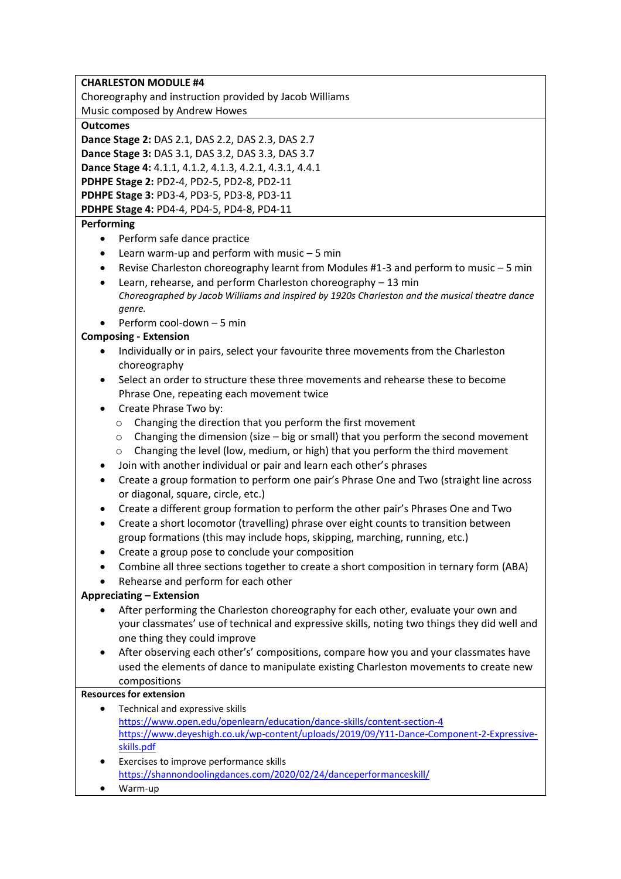|  | <b>CHARLESTON MODULE #4</b> |
|--|-----------------------------|
|--|-----------------------------|

Choreography and instruction provided by Jacob Williams

Music composed by Andrew Howes

## **Outcomes**

**Dance Stage 2:** DAS 2.1, DAS 2.2, DAS 2.3, DAS 2.7

**Dance Stage 3:** DAS 3.1, DAS 3.2, DAS 3.3, DAS 3.7

**Dance Stage 4:** 4.1.1, 4.1.2, 4.1.3, 4.2.1, 4.3.1, 4.4.1

**PDHPE Stage 2:** PD2-4, PD2-5, PD2-8, PD2-11

**PDHPE Stage 3:** PD3-4, PD3-5, PD3-8, PD3-11

**PDHPE Stage 4:** PD4-4, PD4-5, PD4-8, PD4-11

# **Performing**

- Perform safe dance practice
- Learn warm-up and perform with music 5 min
- Revise Charleston choreography learnt from Modules #1-3 and perform to music 5 min
- Learn, rehearse, and perform Charleston choreography 13 min *Choreographed by Jacob Williams and inspired by 1920s Charleston and the musical theatre dance genre.*
- Perform cool-down 5 min

# **Composing - Extension**

- Individually or in pairs, select your favourite three movements from the Charleston choreography
- Select an order to structure these three movements and rehearse these to become Phrase One, repeating each movement twice
- Create Phrase Two by:
	- o Changing the direction that you perform the first movement
	- $\circ$  Changing the dimension (size big or small) that you perform the second movement
	- o Changing the level (low, medium, or high) that you perform the third movement
- Join with another individual or pair and learn each other's phrases
- Create a group formation to perform one pair's Phrase One and Two (straight line across or diagonal, square, circle, etc.)
- Create a different group formation to perform the other pair's Phrases One and Two
- Create a short locomotor (travelling) phrase over eight counts to transition between group formations (this may include hops, skipping, marching, running, etc.)
- Create a group pose to conclude your composition
- Combine all three sections together to create a short composition in ternary form (ABA)
- Rehearse and perform for each other

# **Appreciating – Extension**

- After performing the Charleston choreography for each other, evaluate your own and your classmates' use of technical and expressive skills, noting two things they did well and one thing they could improve
- After observing each other's' compositions, compare how you and your classmates have used the elements of dance to manipulate existing Charleston movements to create new compositions

# **Resources for extension**

- Technical and expressive skills <https://www.open.edu/openlearn/education/dance-skills/content-section-4> [https://www.deyeshigh.co.uk/wp-content/uploads/2019/09/Y11-Dance-Component-2-Expressive](https://www.deyeshigh.co.uk/wp-content/uploads/2019/09/Y11-Dance-Component-2-Expressive-skills.pdf)[skills.pdf](https://www.deyeshigh.co.uk/wp-content/uploads/2019/09/Y11-Dance-Component-2-Expressive-skills.pdf)
- Exercises to improve performance skills <https://shannondoolingdances.com/2020/02/24/danceperformanceskill/>
- Warm-up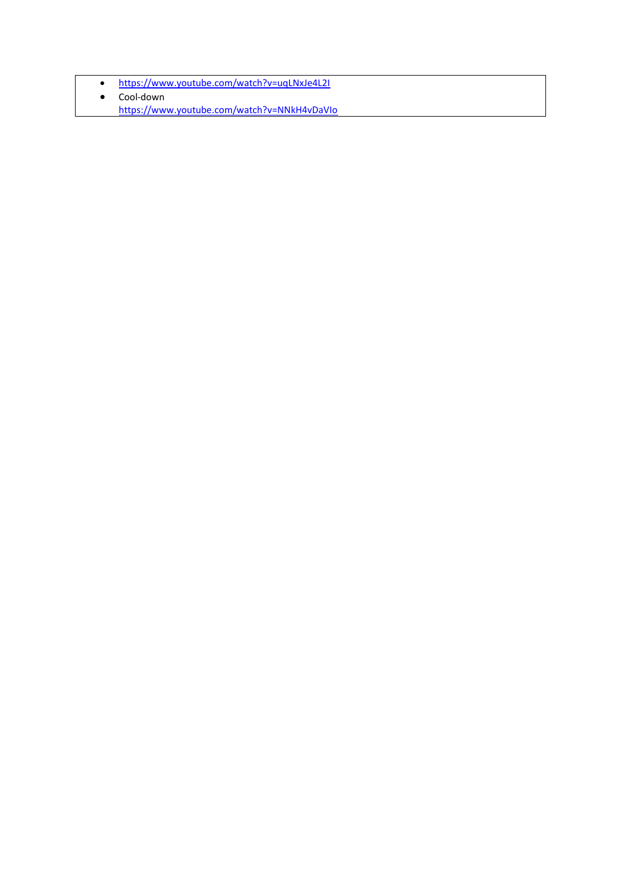- <https://www.youtube.com/watch?v=uqLNxJe4L2I>
- Cool-down
	- <https://www.youtube.com/watch?v=NNkH4vDaVIo>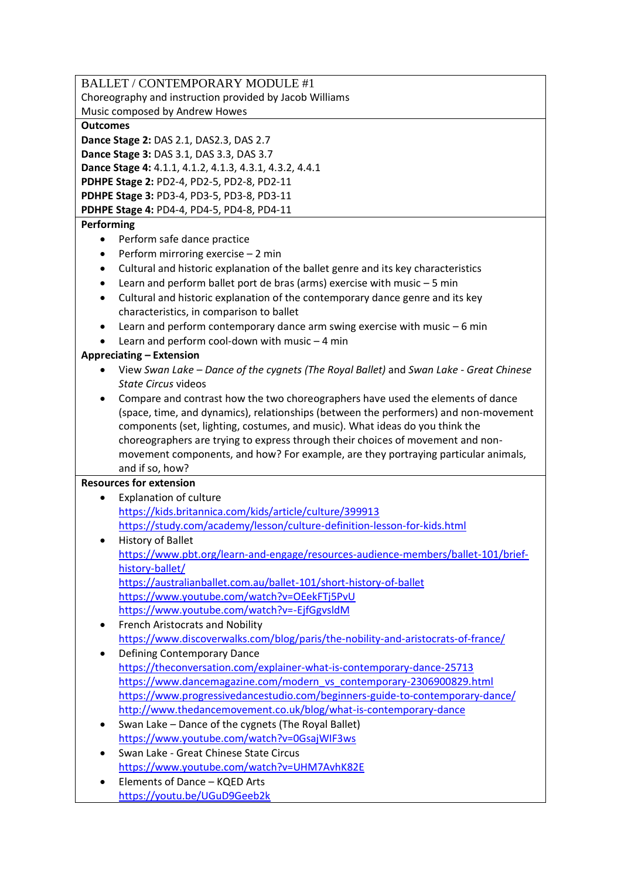BALLET / CONTEMPORARY MODULE #1 Choreography and instruction provided by Jacob Williams Music composed by Andrew Howes **Outcomes Dance Stage 2:** DAS 2.1, DAS2.3, DAS 2.7 **Dance Stage 3:** DAS 3.1, DAS 3.3, DAS 3.7 **Dance Stage 4:** 4.1.1, 4.1.2, 4.1.3, 4.3.1, 4.3.2, 4.4.1 **PDHPE Stage 2:** PD2-4, PD2-5, PD2-8, PD2-11 **PDHPE Stage 3:** PD3-4, PD3-5, PD3-8, PD3-11 **PDHPE Stage 4:** PD4-4, PD4-5, PD4-8, PD4-11 **Performing**  • Perform safe dance practice • Perform mirroring exercise – 2 min • Cultural and historic explanation of the ballet genre and its key characteristics • Learn and perform ballet port de bras (arms) exercise with music – 5 min • Cultural and historic explanation of the contemporary dance genre and its key characteristics, in comparison to ballet • Learn and perform contemporary dance arm swing exercise with music – 6 min • Learn and perform cool-down with music – 4 min **Appreciating – Extension**  • View *Swan Lake – Dance of the cygnets (The Royal Ballet)* and *Swan Lake - Great Chinese State Circus* videos • Compare and contrast how the two choreographers have used the elements of dance (space, time, and dynamics), relationships (between the performers) and non-movement components (set, lighting, costumes, and music). What ideas do you think the choreographers are trying to express through their choices of movement and nonmovement components, and how? For example, are they portraying particular animals, and if so, how? **Resources for extension** Explanation of culture <https://kids.britannica.com/kids/article/culture/399913> <https://study.com/academy/lesson/culture-definition-lesson-for-kids.html> • History of Ballet [https://www.pbt.org/learn-and-engage/resources-audience-members/ballet-101/brief](https://www.pbt.org/learn-and-engage/resources-audience-members/ballet-101/brief-history-ballet/)[history-ballet/](https://www.pbt.org/learn-and-engage/resources-audience-members/ballet-101/brief-history-ballet/) <https://australianballet.com.au/ballet-101/short-history-of-ballet> <https://www.youtube.com/watch?v=OEekFTj5PvU> <https://www.youtube.com/watch?v=-EjfGgvsldM> • French Aristocrats and Nobility <https://www.discoverwalks.com/blog/paris/the-nobility-and-aristocrats-of-france/> • Defining Contemporary Dance <https://theconversation.com/explainer-what-is-contemporary-dance-25713> [https://www.dancemagazine.com/modern\\_vs\\_contemporary-2306900829.html](https://www.dancemagazine.com/modern_vs_contemporary-2306900829.html) <https://www.progressivedancestudio.com/beginners-guide-to-contemporary-dance/> <http://www.thedancemovement.co.uk/blog/what-is-contemporary-dance> • Swan Lake – Dance of the cygnets (The Royal Ballet) <https://www.youtube.com/watch?v=0GsajWIF3ws> • Swan Lake - Great Chinese State Circus <https://www.youtube.com/watch?v=UHM7AvhK82E> • Elements of Dance – KQED Arts <https://youtu.be/UGuD9Geeb2k>